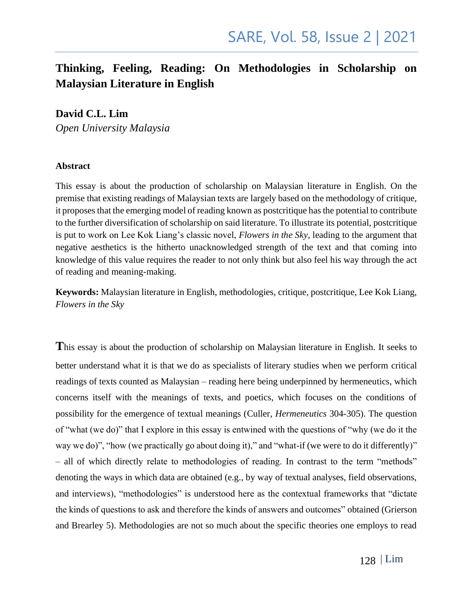#### **Thinking, Feeling, Reading: On Methodologies in Scholarship on Malaysian Literature in English**

#### **David C.L. Lim**

*Open University Malaysia*

#### **Abstract**

This essay is about the production of scholarship on Malaysian literature in English. On the premise that existing readings of Malaysian texts are largely based on the methodology of critique, it proposes that the emerging model of reading known as postcritique has the potential to contribute to the further diversification of scholarship on said literature. To illustrate its potential, postcritique is put to work on Lee Kok Liang's classic novel, *Flowers in the Sky*, leading to the argument that negative aesthetics is the hitherto unacknowledged strength of the text and that coming into knowledge of this value requires the reader to not only think but also feel his way through the act of reading and meaning-making.

**Keywords:** Malaysian literature in English, methodologies, critique, postcritique, Lee Kok Liang, *Flowers in the Sky*

**T**his essay is about the production of scholarship on Malaysian literature in English. It seeks to better understand what it is that we do as specialists of literary studies when we perform critical readings of texts counted as Malaysian – reading here being underpinned by hermeneutics, which concerns itself with the meanings of texts, and poetics, which focuses on the conditions of possibility for the emergence of textual meanings (Culler, *Hermeneutics* 304-305). The question of "what (we do)" that I explore in this essay is entwined with the questions of "why (we do it the way we do)", "how (we practically go about doing it)," and "what-if (we were to do it differently)" – all of which directly relate to methodologies of reading. In contrast to the term "methods" denoting the ways in which data are obtained (e.g., by way of textual analyses, field observations, and interviews), "methodologies" is understood here as the contextual frameworks that "dictate the kinds of questions to ask and therefore the kinds of answers and outcomes" obtained (Grierson and Brearley 5). Methodologies are not so much about the specific theories one employs to read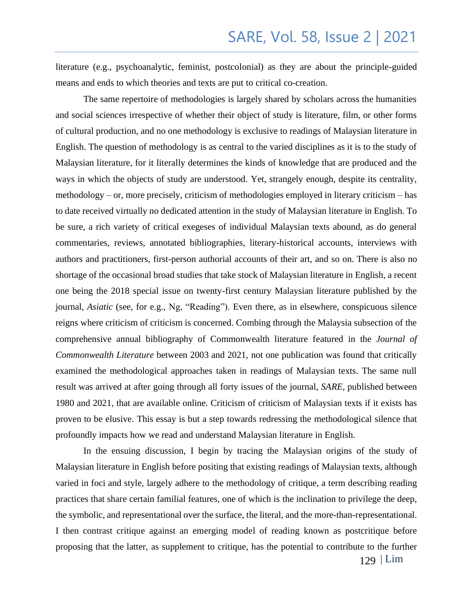literature (e.g., psychoanalytic, feminist, postcolonial) as they are about the principle-guided means and ends to which theories and texts are put to critical co-creation.

 The same repertoire of methodologies is largely shared by scholars across the humanities and social sciences irrespective of whether their object of study is literature, film, or other forms of cultural production, and no one methodology is exclusive to readings of Malaysian literature in English. The question of methodology is as central to the varied disciplines as it is to the study of Malaysian literature, for it literally determines the kinds of knowledge that are produced and the ways in which the objects of study are understood. Yet, strangely enough, despite its centrality, methodology – or, more precisely, criticism of methodologies employed in literary criticism – has to date received virtually no dedicated attention in the study of Malaysian literature in English. To be sure, a rich variety of critical exegeses of individual Malaysian texts abound, as do general commentaries, reviews, annotated bibliographies, literary-historical accounts, interviews with authors and practitioners, first-person authorial accounts of their art, and so on. There is also no shortage of the occasional broad studies that take stock of Malaysian literature in English, a recent one being the 2018 special issue on twenty-first century Malaysian literature published by the journal, *Asiatic* (see, for e.g., Ng, "Reading"). Even there, as in elsewhere, conspicuous silence reigns where criticism of criticism is concerned. Combing through the Malaysia subsection of the comprehensive annual bibliography of Commonwealth literature featured in the *Journal of Commonwealth Literature* between 2003 and 2021, not one publication was found that critically examined the methodological approaches taken in readings of Malaysian texts. The same null result was arrived at after going through all forty issues of the journal, *SARE*, published between 1980 and 2021, that are available online. Criticism of criticism of Malaysian texts if it exists has proven to be elusive. This essay is but a step towards redressing the methodological silence that profoundly impacts how we read and understand Malaysian literature in English.

In the ensuing discussion, I begin by tracing the Malaysian origins of the study of Malaysian literature in English before positing that existing readings of Malaysian texts, although varied in foci and style, largely adhere to the methodology of critique, a term describing reading practices that share certain familial features, one of which is the inclination to privilege the deep, the symbolic, and representational over the surface, the literal, and the more-than-representational. I then contrast critique against an emerging model of reading known as postcritique before proposing that the latter, as supplement to critique, has the potential to contribute to the further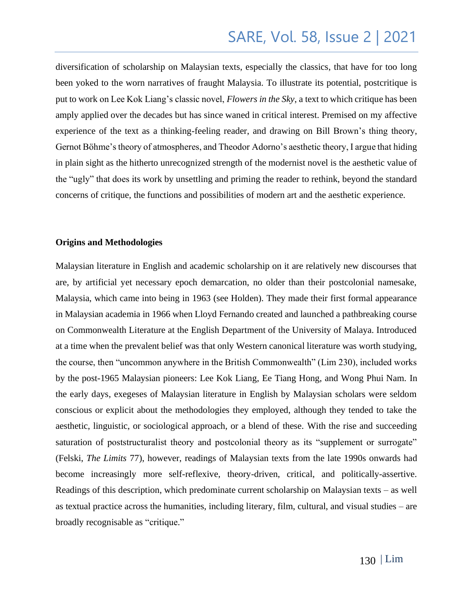diversification of scholarship on Malaysian texts, especially the classics, that have for too long been yoked to the worn narratives of fraught Malaysia. To illustrate its potential, postcritique is put to work on Lee Kok Liang's classic novel, *Flowers in the Sky*, a text to which critique has been amply applied over the decades but has since waned in critical interest. Premised on my affective experience of the text as a thinking-feeling reader, and drawing on Bill Brown's thing theory, Gernot Böhme's theory of atmospheres, and Theodor Adorno's aesthetic theory, I argue that hiding in plain sight as the hitherto unrecognized strength of the modernist novel is the aesthetic value of the "ugly" that does its work by unsettling and priming the reader to rethink, beyond the standard concerns of critique, the functions and possibilities of modern art and the aesthetic experience.

#### **Origins and Methodologies**

Malaysian literature in English and academic scholarship on it are relatively new discourses that are, by artificial yet necessary epoch demarcation, no older than their postcolonial namesake, Malaysia, which came into being in 1963 (see Holden). They made their first formal appearance in Malaysian academia in 1966 when Lloyd Fernando created and launched a pathbreaking course on Commonwealth Literature at the English Department of the University of Malaya. Introduced at a time when the prevalent belief was that only Western canonical literature was worth studying, the course, then "uncommon anywhere in the British Commonwealth" (Lim 230), included works by the post-1965 Malaysian pioneers: Lee Kok Liang, Ee Tiang Hong, and Wong Phui Nam. In the early days, exegeses of Malaysian literature in English by Malaysian scholars were seldom conscious or explicit about the methodologies they employed, although they tended to take the aesthetic, linguistic, or sociological approach, or a blend of these. With the rise and succeeding saturation of poststructuralist theory and postcolonial theory as its "supplement or surrogate" (Felski, *The Limits* 77), however, readings of Malaysian texts from the late 1990s onwards had become increasingly more self-reflexive, theory-driven, critical, and politically-assertive. Readings of this description, which predominate current scholarship on Malaysian texts – as well as textual practice across the humanities, including literary, film, cultural, and visual studies – are broadly recognisable as "critique."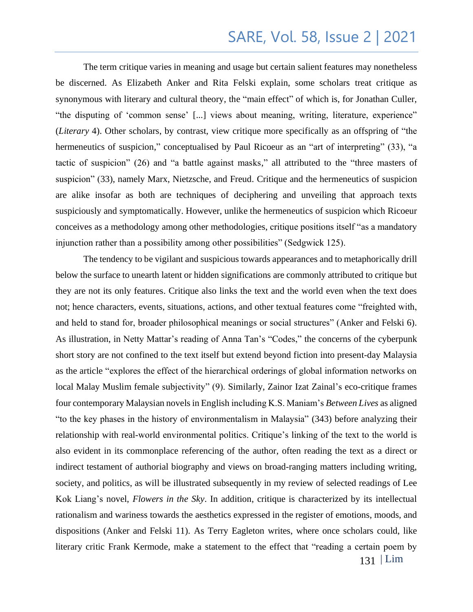The term critique varies in meaning and usage but certain salient features may nonetheless be discerned. As Elizabeth Anker and Rita Felski explain, some scholars treat critique as synonymous with literary and cultural theory, the "main effect" of which is, for Jonathan Culler, "the disputing of 'common sense' [...] views about meaning, writing, literature, experience" (*Literary* 4). Other scholars, by contrast, view critique more specifically as an offspring of "the hermeneutics of suspicion," conceptualised by Paul Ricoeur as an "art of interpreting" (33), "a tactic of suspicion" (26) and "a battle against masks," all attributed to the "three masters of suspicion" (33), namely Marx, Nietzsche, and Freud. Critique and the hermeneutics of suspicion are alike insofar as both are techniques of deciphering and unveiling that approach texts suspiciously and symptomatically. However, unlike the hermeneutics of suspicion which Ricoeur conceives as a methodology among other methodologies, critique positions itself "as a mandatory injunction rather than a possibility among other possibilities" (Sedgwick 125).

The tendency to be vigilant and suspicious towards appearances and to metaphorically drill below the surface to unearth latent or hidden significations are commonly attributed to critique but they are not its only features. Critique also links the text and the world even when the text does not; hence characters, events, situations, actions, and other textual features come "freighted with, and held to stand for, broader philosophical meanings or social structures" (Anker and Felski 6). As illustration, in Netty Mattar's reading of Anna Tan's "Codes," the concerns of the cyberpunk short story are not confined to the text itself but extend beyond fiction into present-day Malaysia as the article "explores the effect of the hierarchical orderings of global information networks on local Malay Muslim female subjectivity" (9). Similarly, Zainor Izat Zainal's eco-critique frames four contemporary Malaysian novels in English including K.S. Maniam's *Between Lives* as aligned "to the key phases in the history of environmentalism in Malaysia" (343) before analyzing their relationship with real-world environmental politics. Critique's linking of the text to the world is also evident in its commonplace referencing of the author, often reading the text as a direct or indirect testament of authorial biography and views on broad-ranging matters including writing, society, and politics, as will be illustrated subsequently in my review of selected readings of Lee Kok Liang's novel, *Flowers in the Sky*. In addition, critique is characterized by its intellectual rationalism and wariness towards the aesthetics expressed in the register of emotions, moods, and dispositions (Anker and Felski 11). As Terry Eagleton writes, where once scholars could, like literary critic Frank Kermode, make a statement to the effect that "reading a certain poem by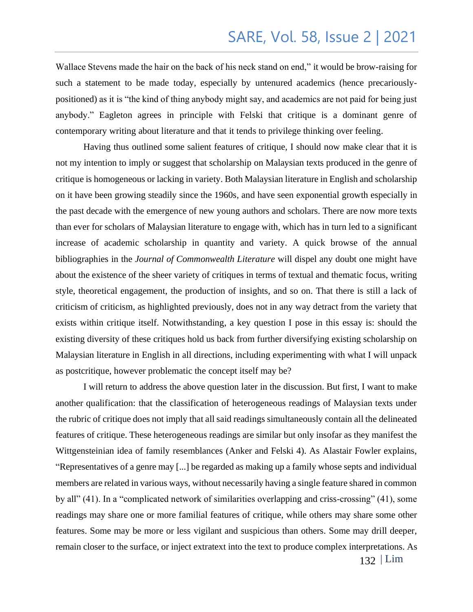Wallace Stevens made the hair on the back of his neck stand on end," it would be brow-raising for such a statement to be made today, especially by untenured academics (hence precariouslypositioned) as it is "the kind of thing anybody might say, and academics are not paid for being just anybody." Eagleton agrees in principle with Felski that critique is a dominant genre of contemporary writing about literature and that it tends to privilege thinking over feeling.

Having thus outlined some salient features of critique, I should now make clear that it is not my intention to imply or suggest that scholarship on Malaysian texts produced in the genre of critique is homogeneous or lacking in variety. Both Malaysian literature in English and scholarship on it have been growing steadily since the 1960s, and have seen exponential growth especially in the past decade with the emergence of new young authors and scholars. There are now more texts than ever for scholars of Malaysian literature to engage with, which has in turn led to a significant increase of academic scholarship in quantity and variety. A quick browse of the annual bibliographies in the *Journal of Commonwealth Literature* will dispel any doubt one might have about the existence of the sheer variety of critiques in terms of textual and thematic focus, writing style, theoretical engagement, the production of insights, and so on. That there is still a lack of criticism of criticism, as highlighted previously, does not in any way detract from the variety that exists within critique itself. Notwithstanding, a key question I pose in this essay is: should the existing diversity of these critiques hold us back from further diversifying existing scholarship on Malaysian literature in English in all directions, including experimenting with what I will unpack as postcritique, however problematic the concept itself may be?

I will return to address the above question later in the discussion. But first, I want to make another qualification: that the classification of heterogeneous readings of Malaysian texts under the rubric of critique does not imply that all said readings simultaneously contain all the delineated features of critique. These heterogeneous readings are similar but only insofar as they manifest the Wittgensteinian idea of family resemblances (Anker and Felski 4). As Alastair Fowler explains, "Representatives of a genre may [...] be regarded as making up a family whose septs and individual members are related in various ways, without necessarily having a single feature shared in common by all" (41). In a "complicated network of similarities overlapping and criss-crossing" (41), some readings may share one or more familial features of critique, while others may share some other features. Some may be more or less vigilant and suspicious than others. Some may drill deeper, remain closer to the surface, or inject extratext into the text to produce complex interpretations. As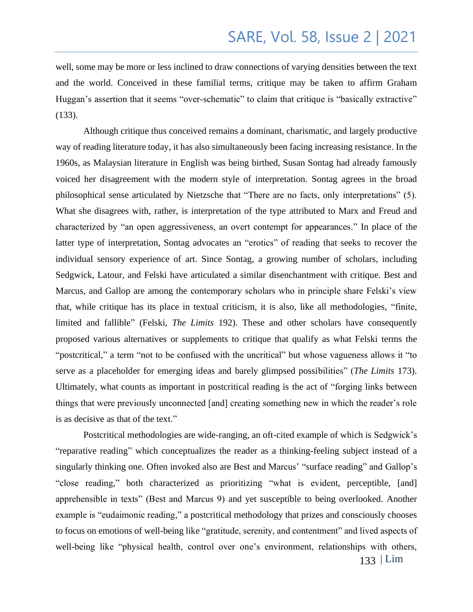well, some may be more or less inclined to draw connections of varying densities between the text and the world. Conceived in these familial terms, critique may be taken to affirm Graham Huggan's assertion that it seems "over-schematic" to claim that critique is "basically extractive" (133).

Although critique thus conceived remains a dominant, charismatic, and largely productive way of reading literature today, it has also simultaneously been facing increasing resistance. In the 1960s, as Malaysian literature in English was being birthed, Susan Sontag had already famously voiced her disagreement with the modern style of interpretation. Sontag agrees in the broad philosophical sense articulated by Nietzsche that "There are no facts, only interpretations" (5). What she disagrees with, rather, is interpretation of the type attributed to Marx and Freud and characterized by "an open aggressiveness, an overt contempt for appearances." In place of the latter type of interpretation, Sontag advocates an "erotics" of reading that seeks to recover the individual sensory experience of art. Since Sontag, a growing number of scholars, including Sedgwick, Latour, and Felski have articulated a similar disenchantment with critique. Best and Marcus, and Gallop are among the contemporary scholars who in principle share Felski's view that, while critique has its place in textual criticism, it is also, like all methodologies, "finite, limited and fallible" (Felski, *The Limits* 192). These and other scholars have consequently proposed various alternatives or supplements to critique that qualify as what Felski terms the "postcritical," a term "not to be confused with the uncritical" but whose vagueness allows it "to serve as a placeholder for emerging ideas and barely glimpsed possibilities" (*The Limits* 173). Ultimately, what counts as important in postcritical reading is the act of "forging links between things that were previously unconnected [and] creating something new in which the reader's role is as decisive as that of the text."

Postcritical methodologies are wide-ranging, an oft-cited example of which is Sedgwick's "reparative reading" which conceptualizes the reader as a thinking-feeling subject instead of a singularly thinking one. Often invoked also are Best and Marcus' "surface reading" and Gallop's "close reading," both characterized as prioritizing "what is evident, perceptible, [and] apprehensible in texts" (Best and Marcus 9) and yet susceptible to being overlooked. Another example is "eudaimonic reading," a postcritical methodology that prizes and consciously chooses to focus on emotions of well-being like "gratitude, serenity, and contentment" and lived aspects of well-being like "physical health, control over one's environment, relationships with others,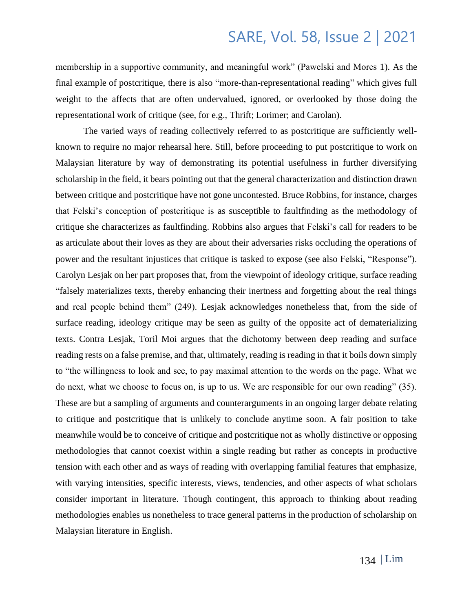membership in a supportive community, and meaningful work" (Pawelski and Mores 1). As the final example of postcritique, there is also "more-than-representational reading" which gives full weight to the affects that are often undervalued, ignored, or overlooked by those doing the representational work of critique (see, for e.g., Thrift; Lorimer; and Carolan).

The varied ways of reading collectively referred to as postcritique are sufficiently wellknown to require no major rehearsal here. Still, before proceeding to put postcritique to work on Malaysian literature by way of demonstrating its potential usefulness in further diversifying scholarship in the field, it bears pointing out that the general characterization and distinction drawn between critique and postcritique have not gone uncontested. Bruce Robbins, for instance, charges that Felski's conception of postcritique is as susceptible to faultfinding as the methodology of critique she characterizes as faultfinding. Robbins also argues that Felski's call for readers to be as articulate about their loves as they are about their adversaries risks occluding the operations of power and the resultant injustices that critique is tasked to expose (see also Felski, "Response"). Carolyn Lesjak on her part proposes that, from the viewpoint of ideology critique, surface reading "falsely materializes texts, thereby enhancing their inertness and forgetting about the real things and real people behind them" (249). Lesjak acknowledges nonetheless that, from the side of surface reading, ideology critique may be seen as guilty of the opposite act of dematerializing texts. Contra Lesjak, Toril Moi argues that the dichotomy between deep reading and surface reading rests on a false premise, and that, ultimately, reading is reading in that it boils down simply to "the willingness to look and see, to pay maximal attention to the words on the page. What we do next, what we choose to focus on, is up to us. We are responsible for our own reading" (35). These are but a sampling of arguments and counterarguments in an ongoing larger debate relating to critique and postcritique that is unlikely to conclude anytime soon. A fair position to take meanwhile would be to conceive of critique and postcritique not as wholly distinctive or opposing methodologies that cannot coexist within a single reading but rather as concepts in productive tension with each other and as ways of reading with overlapping familial features that emphasize, with varying intensities, specific interests, views, tendencies, and other aspects of what scholars consider important in literature. Though contingent, this approach to thinking about reading methodologies enables us nonetheless to trace general patterns in the production of scholarship on Malaysian literature in English.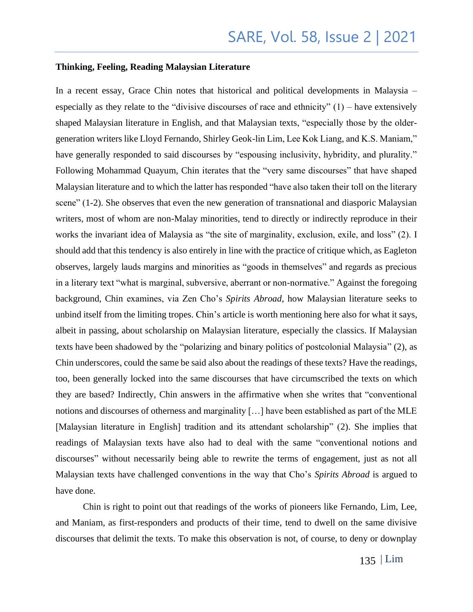#### **Thinking, Feeling, Reading Malaysian Literature**

In a recent essay, Grace Chin notes that historical and political developments in Malaysia – especially as they relate to the "divisive discourses of race and ethnicity" (1) – have extensively shaped Malaysian literature in English, and that Malaysian texts, "especially those by the oldergeneration writers like Lloyd Fernando, Shirley Geok-lin Lim, Lee Kok Liang, and K.S. Maniam," have generally responded to said discourses by "espousing inclusivity, hybridity, and plurality." Following Mohammad Quayum, Chin iterates that the "very same discourses" that have shaped Malaysian literature and to which the latter has responded "have also taken their toll on the literary scene" (1-2). She observes that even the new generation of transnational and diasporic Malaysian writers, most of whom are non-Malay minorities, tend to directly or indirectly reproduce in their works the invariant idea of Malaysia as "the site of marginality, exclusion, exile, and loss" (2). I should add that this tendency is also entirely in line with the practice of critique which, as Eagleton observes, largely lauds margins and minorities as "goods in themselves" and regards as precious in a literary text "what is marginal, subversive, aberrant or non-normative." Against the foregoing background, Chin examines, via Zen Cho's *Spirits Abroad*, how Malaysian literature seeks to unbind itself from the limiting tropes. Chin's article is worth mentioning here also for what it says, albeit in passing, about scholarship on Malaysian literature, especially the classics. If Malaysian texts have been shadowed by the "polarizing and binary politics of postcolonial Malaysia" (2), as Chin underscores, could the same be said also about the readings of these texts? Have the readings, too, been generally locked into the same discourses that have circumscribed the texts on which they are based? Indirectly, Chin answers in the affirmative when she writes that "conventional notions and discourses of otherness and marginality […] have been established as part of the MLE [Malaysian literature in English] tradition and its attendant scholarship" (2). She implies that readings of Malaysian texts have also had to deal with the same "conventional notions and discourses" without necessarily being able to rewrite the terms of engagement, just as not all Malaysian texts have challenged conventions in the way that Cho's *Spirits Abroad* is argued to have done.

Chin is right to point out that readings of the works of pioneers like Fernando, Lim, Lee, and Maniam, as first-responders and products of their time, tend to dwell on the same divisive discourses that delimit the texts. To make this observation is not, of course, to deny or downplay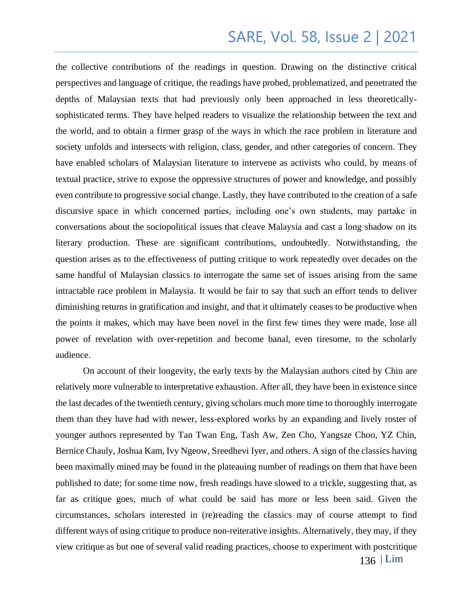the collective contributions of the readings in question. Drawing on the distinctive critical perspectives and language of critique, the readings have probed, problematized, and penetrated the depths of Malaysian texts that had previously only been approached in less theoreticallysophisticated terms. They have helped readers to visualize the relationship between the text and the world, and to obtain a firmer grasp of the ways in which the race problem in literature and society unfolds and intersects with religion, class, gender, and other categories of concern. They have enabled scholars of Malaysian literature to intervene as activists who could, by means of textual practice, strive to expose the oppressive structures of power and knowledge, and possibly even contribute to progressive social change. Lastly, they have contributed to the creation of a safe discursive space in which concerned parties, including one's own students, may partake in conversations about the sociopolitical issues that cleave Malaysia and cast a long shadow on its literary production. These are significant contributions, undoubtedly. Notwithstanding, the question arises as to the effectiveness of putting critique to work repeatedly over decades on the same handful of Malaysian classics to interrogate the same set of issues arising from the same intractable race problem in Malaysia. It would be fair to say that such an effort tends to deliver diminishing returns in gratification and insight, and that it ultimately ceases to be productive when the points it makes, which may have been novel in the first few times they were made, lose all power of revelation with over-repetition and become banal, even tiresome, to the scholarly audience.

On account of their longevity, the early texts by the Malaysian authors cited by Chin are relatively more vulnerable to interpretative exhaustion. After all, they have been in existence since the last decades of the twentieth century, giving scholars much more time to thoroughly interrogate them than they have had with newer, less-explored works by an expanding and lively roster of younger authors represented by Tan Twan Eng, Tash Aw, Zen Cho, Yangsze Choo, YZ Chin, Bernice Chauly, Joshua Kam, Ivy Ngeow, Sreedhevi Iyer, and others. A sign of the classics having been maximally mined may be found in the plateauing number of readings on them that have been published to date; for some time now, fresh readings have slowed to a trickle, suggesting that, as far as critique goes, much of what could be said has more or less been said. Given the circumstances, scholars interested in (re)reading the classics may of course attempt to find different ways of using critique to produce non-reiterative insights. Alternatively, they may, if they view critique as but one of several valid reading practices, choose to experiment with postcritique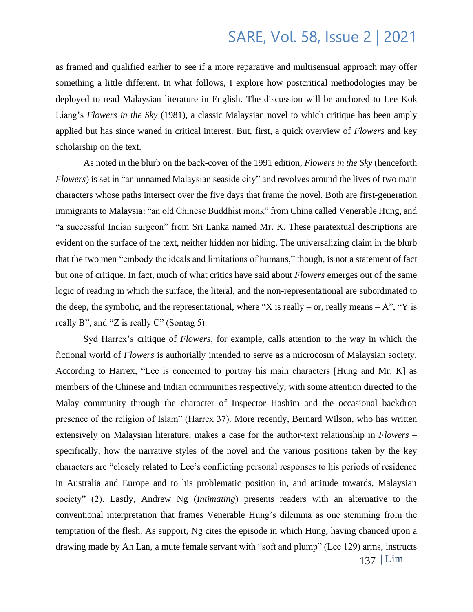as framed and qualified earlier to see if a more reparative and multisensual approach may offer something a little different. In what follows, I explore how postcritical methodologies may be deployed to read Malaysian literature in English. The discussion will be anchored to Lee Kok Liang's *Flowers in the Sky* (1981), a classic Malaysian novel to which critique has been amply applied but has since waned in critical interest. But, first, a quick overview of *Flowers* and key scholarship on the text.

As noted in the blurb on the back-cover of the 1991 edition, *Flowers in the Sky* (henceforth *Flowers*) is set in "an unnamed Malaysian seaside city" and revolves around the lives of two main characters whose paths intersect over the five days that frame the novel. Both are first-generation immigrants to Malaysia: "an old Chinese Buddhist monk" from China called Venerable Hung, and "a successful Indian surgeon" from Sri Lanka named Mr. K. These paratextual descriptions are evident on the surface of the text, neither hidden nor hiding. The universalizing claim in the blurb that the two men "embody the ideals and limitations of humans," though, is not a statement of fact but one of critique. In fact, much of what critics have said about *Flowers* emerges out of the same logic of reading in which the surface, the literal, and the non-representational are subordinated to the deep, the symbolic, and the representational, where "X is really – or, really means – A", "Y is really B", and "Z is really C" (Sontag 5).

137 | Lim Syd Harrex's critique of *Flowers*, for example, calls attention to the way in which the fictional world of *Flowers* is authorially intended to serve as a microcosm of Malaysian society. According to Harrex, "Lee is concerned to portray his main characters [Hung and Mr. K] as members of the Chinese and Indian communities respectively, with some attention directed to the Malay community through the character of Inspector Hashim and the occasional backdrop presence of the religion of Islam" (Harrex 37). More recently, Bernard Wilson, who has written extensively on Malaysian literature, makes a case for the author-text relationship in *Flowers* – specifically, how the narrative styles of the novel and the various positions taken by the key characters are "closely related to Lee's conflicting personal responses to his periods of residence in Australia and Europe and to his problematic position in, and attitude towards, Malaysian society" (2). Lastly, Andrew Ng (*Intimating*) presents readers with an alternative to the conventional interpretation that frames Venerable Hung's dilemma as one stemming from the temptation of the flesh. As support, Ng cites the episode in which Hung, having chanced upon a drawing made by Ah Lan, a mute female servant with "soft and plump" (Lee 129) arms, instructs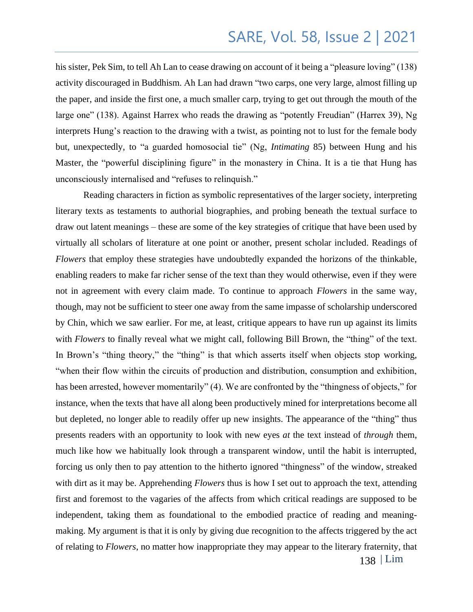his sister, Pek Sim, to tell Ah Lan to cease drawing on account of it being a "pleasure loving" (138) activity discouraged in Buddhism. Ah Lan had drawn "two carps, one very large, almost filling up the paper, and inside the first one, a much smaller carp, trying to get out through the mouth of the large one" (138). Against Harrex who reads the drawing as "potently Freudian" (Harrex 39), Ng interprets Hung's reaction to the drawing with a twist, as pointing not to lust for the female body but, unexpectedly, to "a guarded homosocial tie" (Ng, *Intimating* 85) between Hung and his Master, the "powerful disciplining figure" in the monastery in China. It is a tie that Hung has unconsciously internalised and "refuses to relinquish."

138 | Lim Reading characters in fiction as symbolic representatives of the larger society, interpreting literary texts as testaments to authorial biographies, and probing beneath the textual surface to draw out latent meanings – these are some of the key strategies of critique that have been used by virtually all scholars of literature at one point or another, present scholar included. Readings of *Flowers* that employ these strategies have undoubtedly expanded the horizons of the thinkable, enabling readers to make far richer sense of the text than they would otherwise, even if they were not in agreement with every claim made. To continue to approach *Flowers* in the same way, though, may not be sufficient to steer one away from the same impasse of scholarship underscored by Chin, which we saw earlier. For me, at least, critique appears to have run up against its limits with *Flowers* to finally reveal what we might call, following Bill Brown, the "thing" of the text. In Brown's "thing theory," the "thing" is that which asserts itself when objects stop working, "when their flow within the circuits of production and distribution, consumption and exhibition, has been arrested, however momentarily" (4). We are confronted by the "thingness of objects," for instance, when the texts that have all along been productively mined for interpretations become all but depleted, no longer able to readily offer up new insights. The appearance of the "thing" thus presents readers with an opportunity to look with new eyes *at* the text instead of *through* them, much like how we habitually look through a transparent window, until the habit is interrupted, forcing us only then to pay attention to the hitherto ignored "thingness" of the window, streaked with dirt as it may be. Apprehending *Flowers* thus is how I set out to approach the text, attending first and foremost to the vagaries of the affects from which critical readings are supposed to be independent, taking them as foundational to the embodied practice of reading and meaningmaking. My argument is that it is only by giving due recognition to the affects triggered by the act of relating to *Flowers*, no matter how inappropriate they may appear to the literary fraternity, that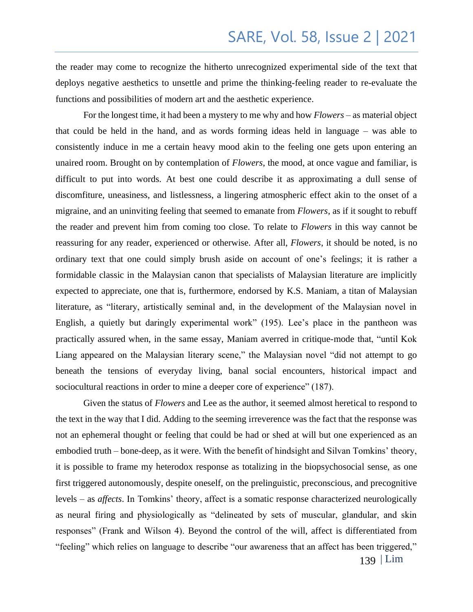the reader may come to recognize the hitherto unrecognized experimental side of the text that deploys negative aesthetics to unsettle and prime the thinking-feeling reader to re-evaluate the functions and possibilities of modern art and the aesthetic experience.

For the longest time, it had been a mystery to me why and how *Flowers* – as material object that could be held in the hand, and as words forming ideas held in language – was able to consistently induce in me a certain heavy mood akin to the feeling one gets upon entering an unaired room. Brought on by contemplation of *Flowers*, the mood, at once vague and familiar, is difficult to put into words. At best one could describe it as approximating a dull sense of discomfiture, uneasiness, and listlessness, a lingering atmospheric effect akin to the onset of a migraine, and an uninviting feeling that seemed to emanate from *Flowers*, as if it sought to rebuff the reader and prevent him from coming too close. To relate to *Flowers* in this way cannot be reassuring for any reader, experienced or otherwise. After all, *Flowers*, it should be noted, is no ordinary text that one could simply brush aside on account of one's feelings; it is rather a formidable classic in the Malaysian canon that specialists of Malaysian literature are implicitly expected to appreciate, one that is, furthermore, endorsed by K.S. Maniam, a titan of Malaysian literature, as "literary, artistically seminal and, in the development of the Malaysian novel in English, a quietly but daringly experimental work" (195). Lee's place in the pantheon was practically assured when, in the same essay, Maniam averred in critique-mode that, "until Kok Liang appeared on the Malaysian literary scene," the Malaysian novel "did not attempt to go beneath the tensions of everyday living, banal social encounters, historical impact and sociocultural reactions in order to mine a deeper core of experience" (187).

Given the status of *Flowers* and Lee as the author, it seemed almost heretical to respond to the text in the way that I did. Adding to the seeming irreverence was the fact that the response was not an ephemeral thought or feeling that could be had or shed at will but one experienced as an embodied truth – bone-deep, as it were. With the benefit of hindsight and Silvan Tomkins' theory, it is possible to frame my heterodox response as totalizing in the biopsychosocial sense, as one first triggered autonomously, despite oneself, on the prelinguistic, preconscious, and precognitive levels – as *affects*. In Tomkins' theory, affect is a somatic response characterized neurologically as neural firing and physiologically as "delineated by sets of muscular, glandular, and skin responses" (Frank and Wilson 4). Beyond the control of the will, affect is differentiated from "feeling" which relies on language to describe "our awareness that an affect has been triggered,"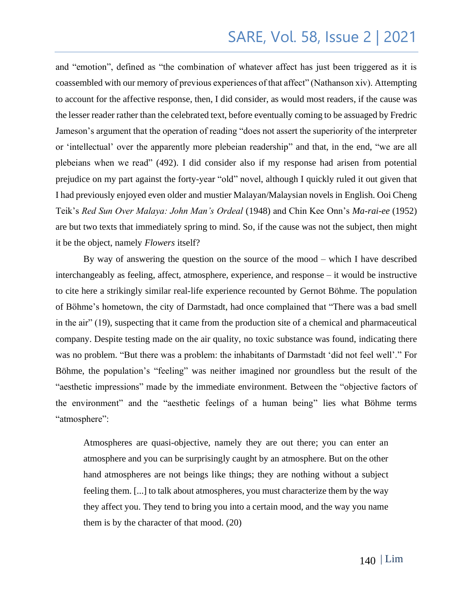and "emotion", defined as "the combination of whatever affect has just been triggered as it is coassembled with our memory of previous experiences of that affect" (Nathanson xiv). Attempting to account for the affective response, then, I did consider, as would most readers, if the cause was the lesser reader rather than the celebrated text, before eventually coming to be assuaged by Fredric Jameson's argument that the operation of reading "does not assert the superiority of the interpreter or 'intellectual' over the apparently more plebeian readership" and that, in the end, "we are all plebeians when we read" (492). I did consider also if my response had arisen from potential prejudice on my part against the forty-year "old" novel, although I quickly ruled it out given that I had previously enjoyed even older and mustier Malayan/Malaysian novels in English. Ooi Cheng Teik's *Red Sun Over Malaya: John Man's Ordeal* (1948) and Chin Kee Onn's *Ma-rai-ee* (1952) are but two texts that immediately spring to mind. So, if the cause was not the subject, then might it be the object, namely *Flowers* itself?

By way of answering the question on the source of the mood – which I have described interchangeably as feeling, affect, atmosphere, experience, and response – it would be instructive to cite here a strikingly similar real-life experience recounted by Gernot Böhme. The population of Böhme's hometown, the city of Darmstadt, had once complained that "There was a bad smell in the air" (19), suspecting that it came from the production site of a chemical and pharmaceutical company. Despite testing made on the air quality, no toxic substance was found, indicating there was no problem. "But there was a problem: the inhabitants of Darmstadt 'did not feel well'." For Böhme, the population's "feeling" was neither imagined nor groundless but the result of the "aesthetic impressions" made by the immediate environment. Between the "objective factors of the environment" and the "aesthetic feelings of a human being" lies what Böhme terms "atmosphere":

Atmospheres are quasi-objective, namely they are out there; you can enter an atmosphere and you can be surprisingly caught by an atmosphere. But on the other hand atmospheres are not beings like things; they are nothing without a subject feeling them. [...] to talk about atmospheres, you must characterize them by the way they affect you. They tend to bring you into a certain mood, and the way you name them is by the character of that mood. (20)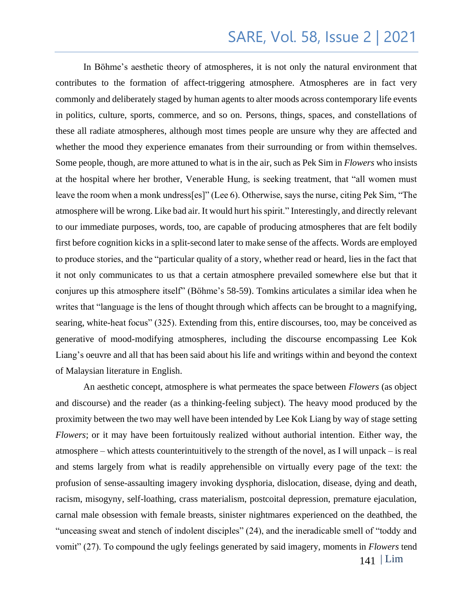In Böhme's aesthetic theory of atmospheres, it is not only the natural environment that contributes to the formation of affect-triggering atmosphere. Atmospheres are in fact very commonly and deliberately staged by human agents to alter moods across contemporary life events in politics, culture, sports, commerce, and so on. Persons, things, spaces, and constellations of these all radiate atmospheres, although most times people are unsure why they are affected and whether the mood they experience emanates from their surrounding or from within themselves. Some people, though, are more attuned to what is in the air, such as Pek Sim in *Flowers* who insists at the hospital where her brother, Venerable Hung, is seeking treatment, that "all women must leave the room when a monk undress[es]" (Lee 6). Otherwise, says the nurse, citing Pek Sim, "The atmosphere will be wrong. Like bad air. It would hurt his spirit." Interestingly, and directly relevant to our immediate purposes, words, too, are capable of producing atmospheres that are felt bodily first before cognition kicks in a split-second later to make sense of the affects. Words are employed to produce stories, and the "particular quality of a story, whether read or heard, lies in the fact that it not only communicates to us that a certain atmosphere prevailed somewhere else but that it conjures up this atmosphere itself" (Böhme's 58-59). Tomkins articulates a similar idea when he writes that "language is the lens of thought through which affects can be brought to a magnifying, searing, white-heat focus" (325). Extending from this, entire discourses, too, may be conceived as generative of mood-modifying atmospheres, including the discourse encompassing Lee Kok Liang's oeuvre and all that has been said about his life and writings within and beyond the context of Malaysian literature in English.

141 | Lim An aesthetic concept, atmosphere is what permeates the space between *Flowers* (as object and discourse) and the reader (as a thinking-feeling subject). The heavy mood produced by the proximity between the two may well have been intended by Lee Kok Liang by way of stage setting *Flowers*; or it may have been fortuitously realized without authorial intention. Either way, the atmosphere – which attests counterintuitively to the strength of the novel, as I will unpack – is real and stems largely from what is readily apprehensible on virtually every page of the text: the profusion of sense-assaulting imagery invoking dysphoria, dislocation, disease, dying and death, racism, misogyny, self-loathing, crass materialism, postcoital depression, premature ejaculation, carnal male obsession with female breasts, sinister nightmares experienced on the deathbed, the "unceasing sweat and stench of indolent disciples" (24), and the ineradicable smell of "toddy and vomit" (27). To compound the ugly feelings generated by said imagery, moments in *Flowers* tend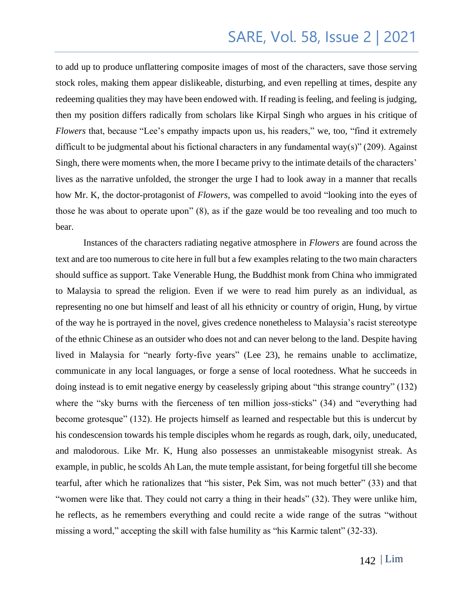to add up to produce unflattering composite images of most of the characters, save those serving stock roles, making them appear dislikeable, disturbing, and even repelling at times, despite any redeeming qualities they may have been endowed with. If reading is feeling, and feeling is judging, then my position differs radically from scholars like Kirpal Singh who argues in his critique of *Flowers* that, because "Lee's empathy impacts upon us, his readers," we, too, "find it extremely difficult to be judgmental about his fictional characters in any fundamental way(s)" (209). Against Singh, there were moments when, the more I became privy to the intimate details of the characters' lives as the narrative unfolded, the stronger the urge I had to look away in a manner that recalls how Mr. K, the doctor-protagonist of *Flowers*, was compelled to avoid "looking into the eyes of those he was about to operate upon" (8), as if the gaze would be too revealing and too much to bear.

Instances of the characters radiating negative atmosphere in *Flowers* are found across the text and are too numerous to cite here in full but a few examples relating to the two main characters should suffice as support. Take Venerable Hung, the Buddhist monk from China who immigrated to Malaysia to spread the religion. Even if we were to read him purely as an individual, as representing no one but himself and least of all his ethnicity or country of origin, Hung, by virtue of the way he is portrayed in the novel, gives credence nonetheless to Malaysia's racist stereotype of the ethnic Chinese as an outsider who does not and can never belong to the land. Despite having lived in Malaysia for "nearly forty-five years" (Lee 23), he remains unable to acclimatize, communicate in any local languages, or forge a sense of local rootedness. What he succeeds in doing instead is to emit negative energy by ceaselessly griping about "this strange country" (132) where the "sky burns with the fierceness of ten million joss-sticks" (34) and "everything had become grotesque" (132). He projects himself as learned and respectable but this is undercut by his condescension towards his temple disciples whom he regards as rough, dark, oily, uneducated, and malodorous. Like Mr. K, Hung also possesses an unmistakeable misogynist streak. As example, in public, he scolds Ah Lan, the mute temple assistant, for being forgetful till she become tearful, after which he rationalizes that "his sister, Pek Sim, was not much better" (33) and that "women were like that. They could not carry a thing in their heads" (32). They were unlike him, he reflects, as he remembers everything and could recite a wide range of the sutras "without missing a word," accepting the skill with false humility as "his Karmic talent" (32-33).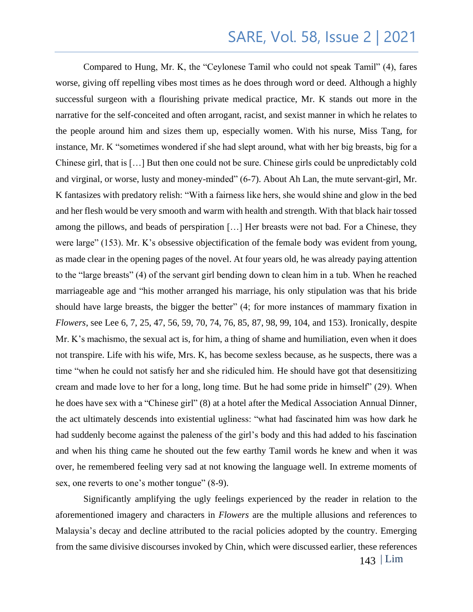Compared to Hung, Mr. K, the "Ceylonese Tamil who could not speak Tamil" (4), fares worse, giving off repelling vibes most times as he does through word or deed. Although a highly successful surgeon with a flourishing private medical practice, Mr. K stands out more in the narrative for the self-conceited and often arrogant, racist, and sexist manner in which he relates to the people around him and sizes them up, especially women. With his nurse, Miss Tang, for instance, Mr. K "sometimes wondered if she had slept around, what with her big breasts, big for a Chinese girl, that is […] But then one could not be sure. Chinese girls could be unpredictably cold and virginal, or worse, lusty and money-minded" (6-7). About Ah Lan, the mute servant-girl, Mr. K fantasizes with predatory relish: "With a fairness like hers, she would shine and glow in the bed and her flesh would be very smooth and warm with health and strength. With that black hair tossed among the pillows, and beads of perspiration […] Her breasts were not bad. For a Chinese, they were large" (153). Mr. K's obsessive objectification of the female body was evident from young, as made clear in the opening pages of the novel. At four years old, he was already paying attention to the "large breasts" (4) of the servant girl bending down to clean him in a tub. When he reached marriageable age and "his mother arranged his marriage, his only stipulation was that his bride should have large breasts, the bigger the better" (4; for more instances of mammary fixation in *Flowers*, see Lee 6, 7, 25, 47, 56, 59, 70, 74, 76, 85, 87, 98, 99, 104, and 153). Ironically, despite Mr. K's machismo, the sexual act is, for him, a thing of shame and humiliation, even when it does not transpire. Life with his wife, Mrs. K, has become sexless because, as he suspects, there was a time "when he could not satisfy her and she ridiculed him. He should have got that desensitizing cream and made love to her for a long, long time. But he had some pride in himself" (29). When he does have sex with a "Chinese girl" (8) at a hotel after the Medical Association Annual Dinner, the act ultimately descends into existential ugliness: "what had fascinated him was how dark he had suddenly become against the paleness of the girl's body and this had added to his fascination and when his thing came he shouted out the few earthy Tamil words he knew and when it was over, he remembered feeling very sad at not knowing the language well. In extreme moments of sex, one reverts to one's mother tongue" (8-9).

Significantly amplifying the ugly feelings experienced by the reader in relation to the aforementioned imagery and characters in *Flowers* are the multiple allusions and references to Malaysia's decay and decline attributed to the racial policies adopted by the country. Emerging from the same divisive discourses invoked by Chin, which were discussed earlier, these references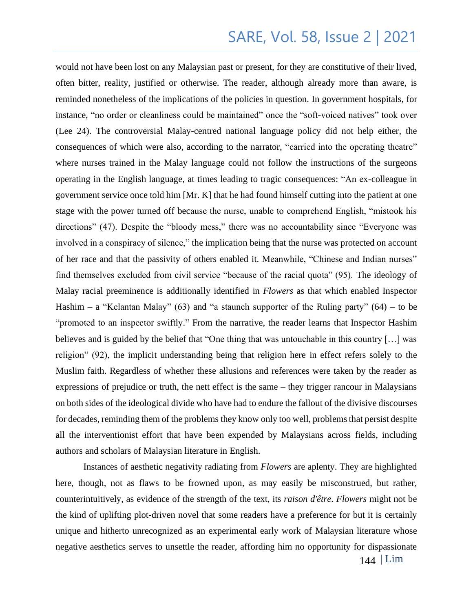would not have been lost on any Malaysian past or present, for they are constitutive of their lived, often bitter, reality, justified or otherwise. The reader, although already more than aware, is reminded nonetheless of the implications of the policies in question. In government hospitals, for instance, "no order or cleanliness could be maintained" once the "soft-voiced natives" took over (Lee 24). The controversial Malay-centred national language policy did not help either, the consequences of which were also, according to the narrator, "carried into the operating theatre" where nurses trained in the Malay language could not follow the instructions of the surgeons operating in the English language, at times leading to tragic consequences: "An ex-colleague in government service once told him [Mr. K] that he had found himself cutting into the patient at one stage with the power turned off because the nurse, unable to comprehend English, "mistook his directions" (47). Despite the "bloody mess," there was no accountability since "Everyone was involved in a conspiracy of silence," the implication being that the nurse was protected on account of her race and that the passivity of others enabled it. Meanwhile, "Chinese and Indian nurses" find themselves excluded from civil service "because of the racial quota" (95). The ideology of Malay racial preeminence is additionally identified in *Flowers* as that which enabled Inspector Hashim – a "Kelantan Malay" (63) and "a staunch supporter of the Ruling party" (64) – to be "promoted to an inspector swiftly." From the narrative, the reader learns that Inspector Hashim believes and is guided by the belief that "One thing that was untouchable in this country […] was religion" (92), the implicit understanding being that religion here in effect refers solely to the Muslim faith. Regardless of whether these allusions and references were taken by the reader as expressions of prejudice or truth, the nett effect is the same – they trigger rancour in Malaysians on both sides of the ideological divide who have had to endure the fallout of the divisive discourses for decades, reminding them of the problems they know only too well, problems that persist despite all the interventionist effort that have been expended by Malaysians across fields, including authors and scholars of Malaysian literature in English.

Instances of aesthetic negativity radiating from *Flowers* are aplenty. They are highlighted here, though, not as flaws to be frowned upon, as may easily be misconstrued, but rather, counterintuitively, as evidence of the strength of the text, its *raison d'être*. *Flowers* might not be the kind of uplifting plot-driven novel that some readers have a preference for but it is certainly unique and hitherto unrecognized as an experimental early work of Malaysian literature whose negative aesthetics serves to unsettle the reader, affording him no opportunity for dispassionate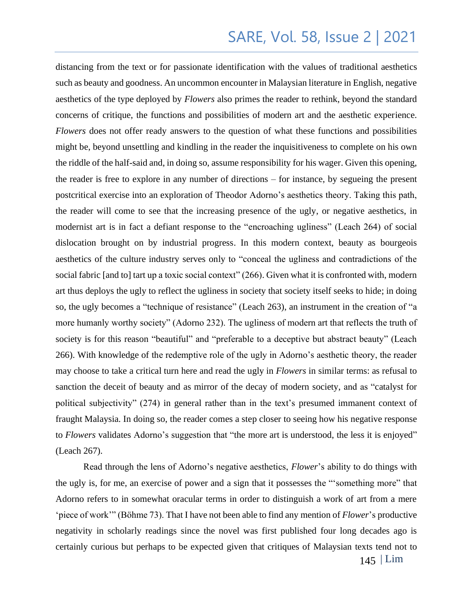distancing from the text or for passionate identification with the values of traditional aesthetics such as beauty and goodness. An uncommon encounter in Malaysian literature in English, negative aesthetics of the type deployed by *Flowers* also primes the reader to rethink, beyond the standard concerns of critique, the functions and possibilities of modern art and the aesthetic experience. *Flowers* does not offer ready answers to the question of what these functions and possibilities might be, beyond unsettling and kindling in the reader the inquisitiveness to complete on his own the riddle of the half-said and, in doing so, assume responsibility for his wager. Given this opening, the reader is free to explore in any number of directions – for instance, by segueing the present postcritical exercise into an exploration of Theodor Adorno's aesthetics theory. Taking this path, the reader will come to see that the increasing presence of the ugly, or negative aesthetics, in modernist art is in fact a defiant response to the "encroaching ugliness" (Leach 264) of social dislocation brought on by industrial progress. In this modern context, beauty as bourgeois aesthetics of the culture industry serves only to "conceal the ugliness and contradictions of the social fabric [and to] tart up a toxic social context" (266). Given what it is confronted with, modern art thus deploys the ugly to reflect the ugliness in society that society itself seeks to hide; in doing so, the ugly becomes a "technique of resistance" (Leach 263), an instrument in the creation of "a more humanly worthy society" (Adorno 232). The ugliness of modern art that reflects the truth of society is for this reason "beautiful" and "preferable to a deceptive but abstract beauty" (Leach 266). With knowledge of the redemptive role of the ugly in Adorno's aesthetic theory, the reader may choose to take a critical turn here and read the ugly in *Flowers* in similar terms: as refusal to sanction the deceit of beauty and as mirror of the decay of modern society, and as "catalyst for political subjectivity" (274) in general rather than in the text's presumed immanent context of fraught Malaysia. In doing so, the reader comes a step closer to seeing how his negative response to *Flowers* validates Adorno's suggestion that "the more art is understood, the less it is enjoyed" (Leach 267).

Read through the lens of Adorno's negative aesthetics, *Flower*'s ability to do things with the ugly is, for me, an exercise of power and a sign that it possesses the "'something more" that Adorno refers to in somewhat oracular terms in order to distinguish a work of art from a mere 'piece of work'" (Böhme 73). That I have not been able to find any mention of *Flower*'s productive negativity in scholarly readings since the novel was first published four long decades ago is certainly curious but perhaps to be expected given that critiques of Malaysian texts tend not to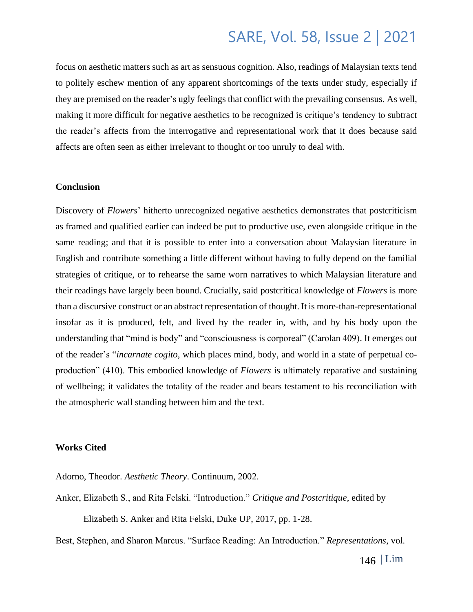focus on aesthetic matters such as art as sensuous cognition. Also, readings of Malaysian texts tend to politely eschew mention of any apparent shortcomings of the texts under study, especially if they are premised on the reader's ugly feelings that conflict with the prevailing consensus. As well, making it more difficult for negative aesthetics to be recognized is critique's tendency to subtract the reader's affects from the interrogative and representational work that it does because said affects are often seen as either irrelevant to thought or too unruly to deal with.

#### **Conclusion**

Discovery of *Flowers*' hitherto unrecognized negative aesthetics demonstrates that postcriticism as framed and qualified earlier can indeed be put to productive use, even alongside critique in the same reading; and that it is possible to enter into a conversation about Malaysian literature in English and contribute something a little different without having to fully depend on the familial strategies of critique, or to rehearse the same worn narratives to which Malaysian literature and their readings have largely been bound. Crucially, said postcritical knowledge of *Flowers* is more than a discursive construct or an abstract representation of thought. It is more-than-representational insofar as it is produced, felt, and lived by the reader in, with, and by his body upon the understanding that "mind is body" and "consciousness is corporeal" (Carolan 409). It emerges out of the reader's "*incarnate cogito*, which places mind, body, and world in a state of perpetual coproduction" (410). This embodied knowledge of *Flowers* is ultimately reparative and sustaining of wellbeing; it validates the totality of the reader and bears testament to his reconciliation with the atmospheric wall standing between him and the text.

#### **Works Cited**

Adorno, Theodor. *Aesthetic Theory*. Continuum, 2002.

Anker, Elizabeth S., and Rita Felski. "Introduction." *Critique and Postcritique*, edited by Elizabeth S. Anker and Rita Felski, Duke UP, 2017, pp. 1-28.

Best, Stephen, and Sharon Marcus. "Surface Reading: An Introduction." *Representations*, vol.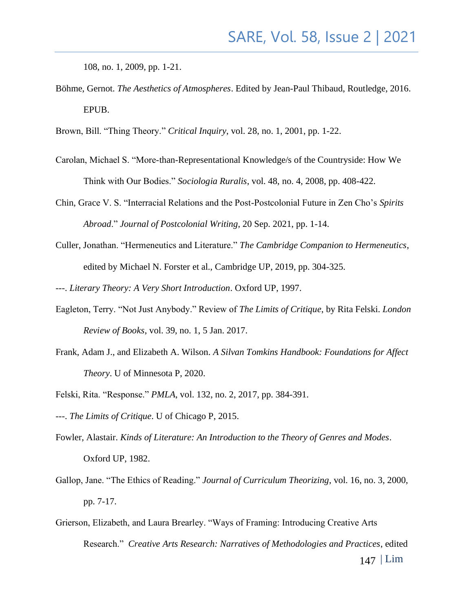108, no. 1, 2009, pp. 1-21.

Böhme, Gernot. *The Aesthetics of Atmospheres*. Edited by Jean-Paul Thibaud, Routledge, 2016. EPUB.

Brown, Bill. "Thing Theory." *Critical Inquiry*, vol. 28, no. 1, 2001, pp. 1-22.

- Carolan, Michael S. "More-than-Representational Knowledge/s of the Countryside: How We Think with Our Bodies." *Sociologia Ruralis*, vol. 48, no. 4, 2008, pp. 408-422.
- Chin, Grace V. S. "Interracial Relations and the Post-Postcolonial Future in Zen Cho's *Spirits Abroad*." *Journal of Postcolonial Writing*, 20 Sep. 2021, pp. 1-14.
- Culler, Jonathan. "Hermeneutics and Literature." *The Cambridge Companion to Hermeneutics*, edited by Michael N. Forster et al., Cambridge UP, 2019, pp. 304-325.
- ---. *Literary Theory: A Very Short Introduction*. Oxford UP, 1997.
- Eagleton, Terry. "Not Just Anybody." Review of *The Limits of Critique*, by Rita Felski. *London Review of Books*, vol. 39, no. 1, 5 Jan. 2017.
- Frank, Adam J., and Elizabeth A. Wilson. *A Silvan Tomkins Handbook: Foundations for Affect Theory*. U of Minnesota P, 2020.
- Felski, Rita. "Response." *PMLA*, vol. 132, no. 2, 2017, pp. 384-391.
- ---. *The Limits of Critique*. U of Chicago P, 2015.
- Fowler, Alastair. *Kinds of Literature: An Introduction to the Theory of Genres and Modes*. Oxford UP, 1982.
- Gallop, Jane. "The Ethics of Reading." *Journal of Curriculum Theorizing*, vol. 16, no. 3, 2000, pp. 7-17.
- 147 | Lim Grierson, Elizabeth, and Laura Brearley. "Ways of Framing: Introducing Creative Arts Research." *Creative Arts Research: Narratives of Methodologies and Practices*, edited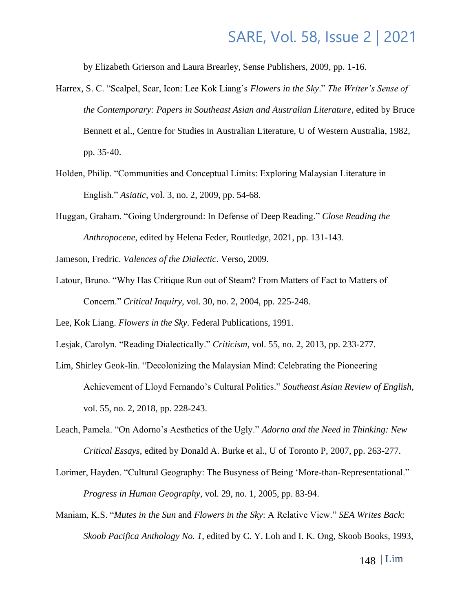by Elizabeth Grierson and Laura Brearley, Sense Publishers, 2009, pp. 1-16.

- Harrex, S. C. "Scalpel, Scar, Icon: Lee Kok Liang's *Flowers in the Sky*." *The Writer's Sense of the Contemporary: Papers in Southeast Asian and Australian Literature*, edited by Bruce Bennett et al., Centre for Studies in Australian Literature, U of Western Australia, 1982, pp. 35-40.
- Holden, Philip. "Communities and Conceptual Limits: Exploring Malaysian Literature in English." *Asiatic*, vol. 3, no. 2, 2009, pp. 54-68.
- Huggan, Graham. "Going Underground: In Defense of Deep Reading." *Close Reading the Anthropocene*, edited by Helena Feder, Routledge, 2021, pp. 131-143.

Jameson, Fredric. *Valences of the Dialectic*. Verso, 2009.

Latour, Bruno. "Why Has Critique Run out of Steam? From Matters of Fact to Matters of Concern." *Critical Inquiry*, vol. 30, no. 2, 2004, pp. 225-248.

Lee, Kok Liang. *Flowers in the Sky*. Federal Publications, 1991.

- Lesjak, Carolyn. "Reading Dialectically." *Criticism*, vol. 55, no. 2, 2013, pp. 233-277.
- Lim, Shirley Geok-lin. "Decolonizing the Malaysian Mind: Celebrating the Pioneering Achievement of Lloyd Fernando's Cultural Politics." *Southeast Asian Review of English*, vol. 55, no. 2, 2018, pp. 228-243.
- Leach, Pamela. "On Adorno's Aesthetics of the Ugly." *Adorno and the Need in Thinking: New Critical Essays*, edited by Donald A. Burke et al., U of Toronto P, 2007, pp. 263-277.
- Lorimer, Hayden. "Cultural Geography: The Busyness of Being 'More-than-Representational." *Progress in Human Geography*, vol. 29, no. 1, 2005, pp. 83-94.
- Maniam, K.S. "*Mutes in the Sun* and *Flowers in the Sky*: A Relative View." *SEA Writes Back: Skoob Pacifica Anthology No. 1*, edited by C. Y. Loh and I. K. Ong, Skoob Books, 1993,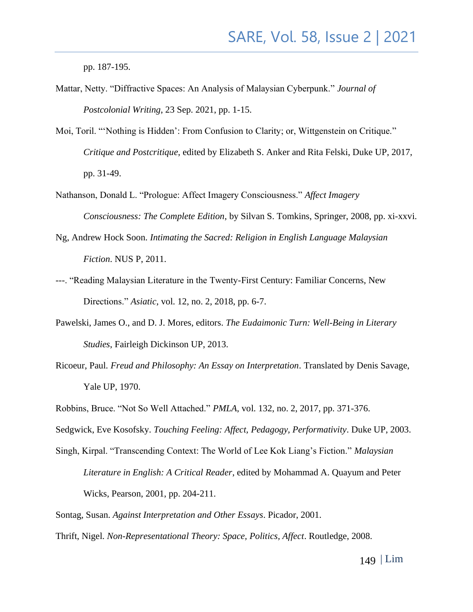pp. 187-195.

- Mattar, Netty. "Diffractive Spaces: An Analysis of Malaysian Cyberpunk." *Journal of Postcolonial Writing*, 23 Sep. 2021, pp. 1-15.
- Moi, Toril. "'Nothing is Hidden': From Confusion to Clarity; or, Wittgenstein on Critique." *Critique and Postcritique*, edited by Elizabeth S. Anker and Rita Felski, Duke UP, 2017, pp. 31-49.
- Nathanson, Donald L. "Prologue: Affect Imagery Consciousness." *Affect Imagery Consciousness: The Complete Edition*, by Silvan S. Tomkins, Springer, 2008, pp. xi-xxvi.
- Ng, Andrew Hock Soon. *Intimating the Sacred: Religion in English Language Malaysian Fiction*. NUS P, 2011.
- ---. "Reading Malaysian Literature in the Twenty-First Century: Familiar Concerns, New Directions." *Asiatic*, vol. 12, no. 2, 2018, pp. 6-7.
- Pawelski, James O., and D. J. Mores, editors. *The Eudaimonic Turn: Well-Being in Literary Studies*, Fairleigh Dickinson UP, 2013.
- Ricoeur, Paul. *Freud and Philosophy: An Essay on Interpretation*. Translated by Denis Savage, Yale UP, 1970.
- Robbins, Bruce. "Not So Well Attached." *PMLA*, vol. 132, no. 2, 2017, pp. 371-376.
- Sedgwick, Eve Kosofsky. *Touching Feeling: Affect, Pedagogy, Performativity*. Duke UP, 2003.

- Sontag, Susan. *Against Interpretation and Other Essays*. Picador, 2001.
- Thrift, Nigel. *Non-Representational Theory: Space, Politics, Affect*. Routledge, 2008.

Singh, Kirpal. "Transcending Context: The World of Lee Kok Liang's Fiction." *Malaysian Literature in English: A Critical Reader*, edited by Mohammad A. Quayum and Peter Wicks, Pearson, 2001, pp. 204-211.